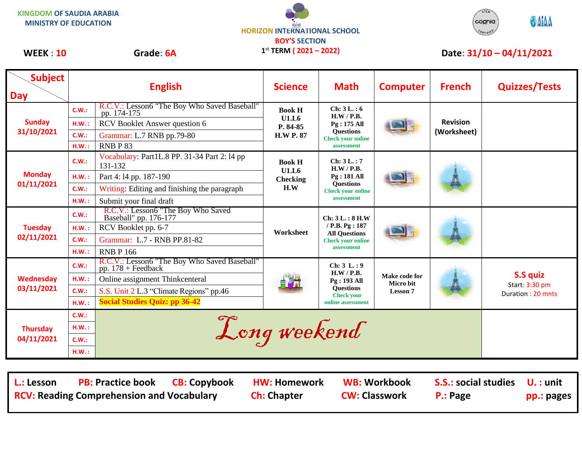



## WEEK : 10 Grade: 6A  $1^{st}$  TERM (2021 – 2022) Date: 31/10 – 04/11/2021

**Subject Day English Science Math Computer French Quizzes/Tests Sunday 31/10/2021 C.W.:** R.C.V.: Lesson6 "The Boy Who Saved Baseball" Book H Book H **U1.L6 P. 84-85 H.W P. 87 Ch: 3 L. : 6 H.W / P.B. Pg : 175 All Questions Check your online assessment Revision (Worksheet) H.W. :** RCV Booklet Answer question 6 **C.W.:** Grammar: L.7 RNB pp.79-80 **H.W. :** RNB P 83 **Monday 01/11/2021 C.W.: Vocabulary: Part1L.8 PP. 31-34 Part 2: 14 pp 131-132** 131-132 **Book H U1.L6 Checking H.W Ch: 3 L. : 7 H.W / P.B. Pg : 181 All Questions Check your online assessment H.W. :** Part 4: l4 pp. 187-190 **C.W.:** Writing: Editing and finishing the paragraph **H.W.**: Submit your final draft **Tuesday 02/11/2021 C.W.:** R.C.V.: Lesson6 "The Boy Who Saved Baseball" pp. 176-177 **Worksheet Ch: 3 L. : 8 H.W / P.B. Pg : 187 All Questions Check your online assessment H.W. :** RCV Booklet pp. 6-7 **C.W.:** Grammar: L.7 - RNB PP.81-82 **H.W.:** RNB P 166 **Wednesday 03/11/2021 C.W.:** R.C.V.: Lesson6 "The Boy Who Saved Baseball" pp. 178 + Feedback **Ch:** 3 L. : 9 **Ch:** 3 L. : 9 **Ch:** 3 L. : 9 **Ch:** 3 L. : 9 **Ch:** 3 L. : 9 **H.W / P.B. Pg : 193 All Questions Check your online assessment Make code for Micro bit Lesson 7 S.S quiz** Start: 3:30 pm Duration : 20 mnts **H.W. :** Online assignment Thinkcenteral **C.W.:** S.S. Unit 2 L.3 "Climate Regions" pp.46 **H.W. : Social Studies Quiz: pp 36-42 Thursday 04/11/2021** <del>c.w.:</del> E.W.: E.W.: Long weekend **C.W.: H.W. :**

**L.: Lesson PB: Practice book CB: Copybook HW: Homework WB: Workbook S.S.: social studies U. : unit RCV: Reading Comprehension and Vocabulary and Ch: Chapter CW: Classwork P.: Page pp.: pages**